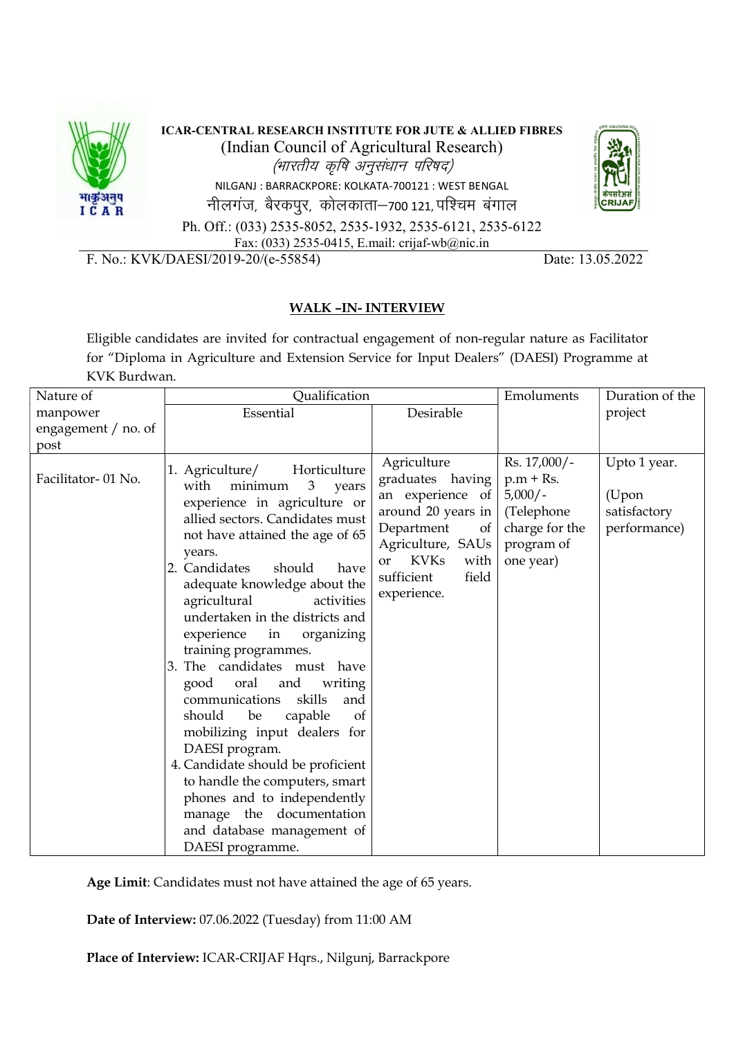

ICAR-CENTRAL RESEARCH INSTITUTE FOR JUTE & ALLIED FIBRES (Indian Council of Agricultural Research)<br>(भारतीय कृषि अनुसंधान परिषद) SEARCH INSTITUTE FOR JUTE & ALLIED FIBRES<br>Council of Agricultural Research)<br>*(भारतीय कृषि अनुसंधान परिषद)*<br>ARRACKPORE: KOLKATA-700121 : WEST BENGAL<br>|रकपुर, कोलकाता–700 121, पश्चिम बंगाल NILGANJ : BARRACKPORE: KOLKATA-700121 : WEST BENGAL नीलगंज, बैरकपुर, कोलकाता-700 121, पश्चिम बंगाल



Ph. Off.: (033) 2535-8052, 2535-1932, 2535-6121, 2535-6122 Fax: (033) 2535-0415, E.mail: crijaf-wb@nic.in

F. No.: KVK/DAESI/2019-20/(e-55854) Date: 13.05.2022

## WALK –IN- INTERVIEW

Eligible candidates are invited for contractual engagement of non-regular nature as Facilitator for "Diploma in Agriculture and Extension Service for Input Dealers" (DAESI) Programme at KVK Burdwan.

| Nature of           | Qualification                                                                                                                                                                                                                                                                                                                                                                                                                                                                                                                                                                                                                                                                                                                                                  |                                                                                                                                                                                              | Emoluments                                                                                          | Duration of the                                       |
|---------------------|----------------------------------------------------------------------------------------------------------------------------------------------------------------------------------------------------------------------------------------------------------------------------------------------------------------------------------------------------------------------------------------------------------------------------------------------------------------------------------------------------------------------------------------------------------------------------------------------------------------------------------------------------------------------------------------------------------------------------------------------------------------|----------------------------------------------------------------------------------------------------------------------------------------------------------------------------------------------|-----------------------------------------------------------------------------------------------------|-------------------------------------------------------|
| manpower            | Essential                                                                                                                                                                                                                                                                                                                                                                                                                                                                                                                                                                                                                                                                                                                                                      | Desirable                                                                                                                                                                                    |                                                                                                     | project                                               |
| engagement / no. of |                                                                                                                                                                                                                                                                                                                                                                                                                                                                                                                                                                                                                                                                                                                                                                |                                                                                                                                                                                              |                                                                                                     |                                                       |
| post                |                                                                                                                                                                                                                                                                                                                                                                                                                                                                                                                                                                                                                                                                                                                                                                |                                                                                                                                                                                              |                                                                                                     |                                                       |
| Facilitator-01 No.  | 1. Agriculture/<br>Horticulture<br>3<br>with<br>minimum<br>years<br>experience in agriculture or<br>allied sectors. Candidates must<br>not have attained the age of 65<br>years.<br>2. Candidates<br>should<br>have<br>adequate knowledge about the<br>agricultural<br>activities<br>undertaken in the districts and<br>experience in organizing<br>training programmes.<br>3. The candidates must have<br>oral<br>and<br>writing<br>good<br>skills<br>communications<br>and<br>should<br>capable<br><sub>of</sub><br>be<br>mobilizing input dealers for<br>DAESI program.<br>4. Candidate should be proficient<br>to handle the computers, smart<br>phones and to independently<br>manage the documentation<br>and database management of<br>DAESI programme. | Agriculture<br>graduates having<br>an experience of<br>around 20 years in<br>Department<br>of<br>Agriculture, SAUs<br><b>KVKs</b><br>with<br><b>or</b><br>sufficient<br>field<br>experience. | Rs. 17,000/-<br>$p.m + Rs.$<br>$5,000/-$<br>(Telephone<br>charge for the<br>program of<br>one year) | Upto 1 year.<br>(Upon<br>satisfactory<br>performance) |

Age Limit: Candidates must not have attained the age of 65 years.

Date of Interview: 07.06.2022 (Tuesday) from 11:00 AM

Place of Interview: ICAR-CRIJAF Hqrs., Nilgunj, Barrackpore